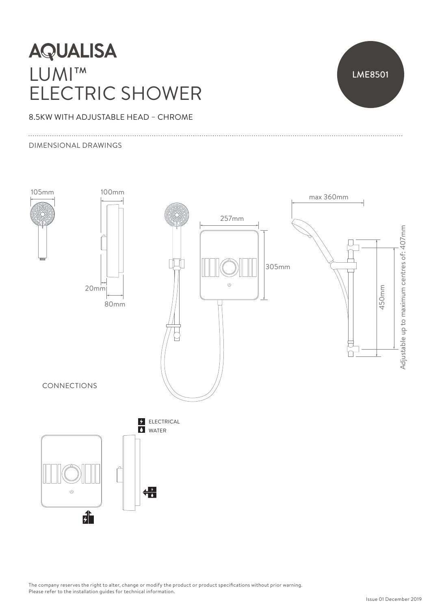# **AQUALISA** LUMI™ ELECTRIC SHOWER



### 8.5KW WITH ADJUSTABLE HEAD – CHROME

#### DIMENSIONAL DRAWINGS